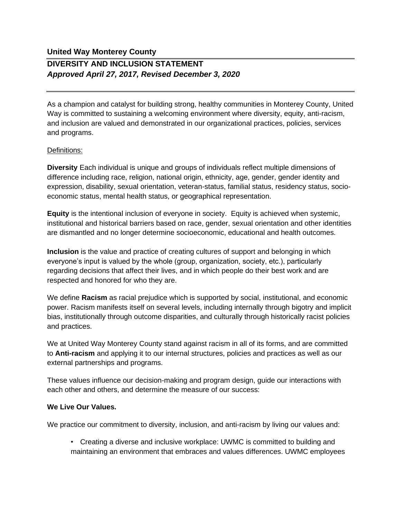## **United Way Monterey County DIVERSITY AND INCLUSION STATEMENT** *Approved April 27, 2017, Revised December 3, 2020*

As a champion and catalyst for building strong, healthy communities in Monterey County, United Way is committed to sustaining a welcoming environment where diversity, equity, anti-racism, and inclusion are valued and demonstrated in our organizational practices, policies, services and programs.

## Definitions:

**Diversity** Each individual is unique and groups of individuals reflect multiple dimensions of difference including race, religion, national origin, ethnicity, age, gender, gender identity and expression, disability, sexual orientation, veteran-status, familial status, residency status, socioeconomic status, mental health status, or geographical representation.

**Equity** is the intentional inclusion of everyone in society. Equity is achieved when systemic, institutional and historical barriers based on race, gender, sexual orientation and other identities are dismantled and no longer determine socioeconomic, educational and health outcomes.

**Inclusion** is the value and practice of creating cultures of support and belonging in which everyone's input is valued by the whole (group, organization, society, etc.), particularly regarding decisions that affect their lives, and in which people do their best work and are respected and honored for who they are.

We define **Racism** as racial prejudice which is supported by social, institutional, and economic power. Racism manifests itself on several levels, including internally through bigotry and implicit bias, institutionally through outcome disparities, and culturally through historically racist policies and practices.

We at United Way Monterey County stand against racism in all of its forms, and are committed to **Anti-racism** and applying it to our internal structures, policies and practices as well as our external partnerships and programs.

These values influence our decision-making and program design, guide our interactions with each other and others, and determine the measure of our success:

## **We Live Our Values.**

We practice our commitment to diversity, inclusion, and anti-racism by living our values and:

• Creating a diverse and inclusive workplace: UWMC is committed to building and maintaining an environment that embraces and values differences. UWMC employees